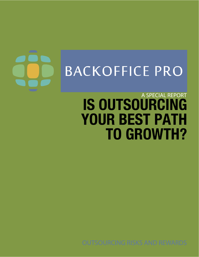# **BACKOFFICE PRO**

## **IS OUTSOURCING YOUR BEST PATH TO GROWTH?** A SPECIAL REPORT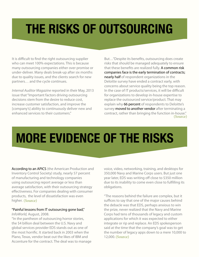## **THE RISKS OF OUTSOURCING**

It is difficult to find the right outsourcing supplier who can meet 100% expectations. This is because many outsourcing companies either over promise or under-deliver. Many deals break-up after six months due to quality issues, and the clients search for new partners… and the cycle continues.

*Internal Auditor Magazine* reported in their May, 2013 issue that "Important factors driving outsourcing decisions stem from the desire to reduce cost, increase customer satisfaction, and improve the [company's] ability to continuously deliver new and enhanced services to their customers."

But…"Despite its benefits, outsourcing does create risks that should be managed adequately to ensure that these benefits are realized fully. A common risk companies face is the early termination of contracts; nearly half of respondent organizations in the Deloitte survey have ended a contract early, with concerns about service quality being the top reason. In the case of IT products/services, it will be difficult for organizations to develop in-house expertise to replace the outsourced service/product. That may explain why 66 percent of respondents to Deloitte's survey moved to another vendor after terminating a contract, rather than bringing the function in-house." [\(Source\)](http://www.theiia.org/intAuditor/itaudit/2013-articles/risk-assessment-of-outsourced-service-providers/)

## **MORE EVIDENCE OF THE RISKS**

According to an APICS (the American Production and Inventory Control Society) study, nearly 57 percent of manufacturing and technology companies using outsourcing report average or less than average satisfaction, with their outsourcing strategy effectiveness. For companies dealing with consumer products, the level of dissatisfaction was even higher. [\(Source\)](http://www.protiviti.com/en-US/Documents/Surveys/ManagingOutsourcingRisks.pdf)

#### "Painful lessons from IT outsourcing gone bad," *InfoWorld,* August, 2008.

"In the pantheon of outsourcing horror stories, the \$4 billion deal between the U.S. Navy and global services provider EDS stands out as one of the most horrific. It started back in 2003 when the Plano, Texas, vendor beat out the likes of IBM and Accenture for the contract. The deal was to manage

voice, video, networking, training, and desktops for 350,000 Navy and Marine Corps users. But just one year later, EDS was writing off close to \$350 million due to its inability to come even close to fulfilling its obligations.

"The reasons behind the failure are complex, but it suffices to say that one of the major causes behind the debacle was that EDS, perhaps anxious to win the prize, never realized that the Navy and Marine Corps had tens of thousands of legacy and custom applications for which it was expected to either integrate or rip and replace. An EDS spokesperson said at the time that the company's goal was to get the number of legacy apps down to a mere 10,000 to 12,000. [\(Source\)](http://www.infoworld.com/d/adventures-in-it/painful-lessons-it-outsourcing-gone-bad-032)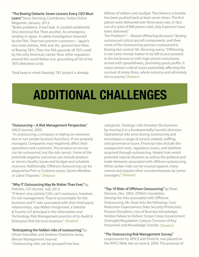#### "The Boeing Debacle: Seven Lessons Every CEO Must

Learn," Steve Denning, Contributor, *Forbes Online Magazine,* January, 2013.

"Brake problems. A fuel leak. A cracked windshield. One electrical fire. Then another. An emergency landing in Japan. A safety investigation imposed by the FAA. Then two premier customers—Japan's two main airlines, ANA and JAL, ground their fleet of Boeing 787s. Then the FAA grounds all 787s used by the only American carrier. Now other regulators around the world follow suit, grounding all 50 of the 787s delivered so far.

"And keep in mind: Boeing's 787 project is already

billions of dollars over budget. The delivery schedule has been pushed back at least seven times. The first planes were delivered over three years late. In fact, out of a total of 848 planes sold, only 6 percent have been delivered."

The Problem? "…flawed offshoring decisions." Boeing outsourced critical aircraft components, and then some of the Outsourcing partners outsourced it. Boeing lost control. Mr. Denning warns, "Offshoring is not some menial matter to be left to accountants in the backroom or with high-priced consultants armed with spreadsheets, promising quick profits. It raises mission-critical issues potentially affecting the survival of entire firms, whole industry and ultimately the economy." [\(Source\)](http://www.forbes.com/sites/stevedenning/2013/01/17/the-boeing-debacle-seven-lessons-every-ceo-must-learn)

# **ADDITIONAL CHALLENGES**

#### "Outsourcing—A Risk Management Perspective,"

*ISACA* Journal, 2005.

 "In outsourcing, a company is relying on someone else to run certain business functions. If not properly managed, Companies may negatively affect their operations and customers. The product or service can be outsourced, but the risk cannot. Some of the potential negative outcomes can include product or service Quality Issues and budget and schedule overruns. Additionally, Offshore Outsourcing can be plagued by Port or Customs issues, Severe Weather, or Labor Disputes." [\(Source\)](http://www.isaca.org/Journal/Past-Issues/2005/Volume-5/Pages/Outsourcing-A-Risk-Management-Perspective1.aspx)

#### "Why IT Outsourcing May Be Riskier Than Ever," by

Deloitte, *CIO Journal*, July, 2012.

"If there's one activity CIOs can't outsource, however, it's risk management. They're accountable for the business and IT risks associated with their third-party relationships, says Walter Hoogmoed, a Deloitte & Touche LLP principal in the Information and Technology Risk Management practice of its Audit & Enterprise Risk Services business." [\(Source\)](http://deloitte.wsj.com/cio/2012/07/09/why-it-outsourcing-may-be-riskier-than-ever)

#### "Anticipating the hidden risks of outsourcing," by

Olivier Fainsilber and Andrew Chadwick-Jones, Mercer Management Journal. "Outsourcing risks can be grouped into four

categories. Strategic risks threaten the business by moving it in a fundamentally harmful direction. Operational risks arise during outsourcing and encompass a range of service-related, staffing, and governance issues. Financial risks include the unexpected costs, regulatory issues, and liabilities acquired through outsourcing. Hazard risks entail potential natural disasters as well as the political and trade elements associated with offshore outsourcing. While certain risks can be insured against, many cannot and require other countermeasures by senior managers." [\(Source\)](http://www.mmc.com/views/MercerMC_OutsourcedHiddenrisks.pdf)

#### "Top 10 Risks of Offshore Outsourcing" by Dean

Davison, Dec. 2003, ZDNet's newsletter. Among the risks associated with Offshore Outsourcing, Mr. Dean lists the following: Cost-Reduction Expectations; Data Security/Protection; Process Discipline; Loss of Business Knowledge; Vendor Failure to Deliver; Scope Creep; Government Oversight/Regulation; Culture; Turnover of Key Personnel; and Knowledge Transfer. [\(Source\)](http://www.zdnet.com/news/top-10-risks-of-offshore-outsourcing/299274)

#### "The Outsourcing Risk Management Survey,"

cosponsored by APICS and Protiviti, was placed on the APICS Web site on June 6, 2004. The purpose of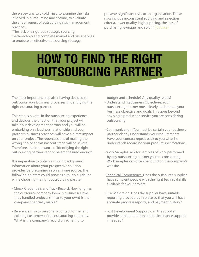the survey was two-fold. First, to examine the risks involved in outsourcing and second, to evaluate the effectiveness of outsourcing risk management practices.

"The lack of a rigorous strategic sourcing methodology and complete market and risk analyses to produce an effective outsourcing strategy,

presents significant risks to an organization. These risks include inconsistent sourcing and selection criteria, lower quality, higher pricing, the loss of purchasing leverage, and so on." [\(Source\)](http://www.protiviti.com/en-S/Documents/Surveys/ManagingOutsourcingRisks.pdf)

## **HOW TO FIND THE RIGHT OUTSOURCING PARTNER**

The most important step after having decided to outsource your business processes is identifying the right outsourcing partner.

This step is pivotal in the outsourcing experience, and decides the direction that your project will take. Your development partner and you will be embarking on a business relationship and your partner's business practices will have a direct impact on your project. The repercussions of making the wrong choice at this nascent stage will be severe. Therefore, the importance of identifying the right outsourcing partner cannot be emphasized enough.

It is imperative to obtain as much background information about your prospective solution provider, before zoning in on any one source. The following pointers could serve as a rough guideline while choosing the right outsourcing partner.

- Check Credentials and Track Record: How long has the outsource company been in business? Have they handled projects similar to your own? Is the company financially viable?
- References: Try to personally contact former and existing customers of the outsourcing company. What is the company's record on adhering to

budget and schedule? Any quality issues?

- Understanding Business Objectives: Your outsourcing partner must clearly understand your business objective and goals. This goes beyond any single product or service you are considering outsourcing.
- Communication: You must be certain your business partner clearly understands your requirements. Have your contact repeat back to you what he understands regarding your product specifications.
- Work Samples: Ask for samples of work performed by any outsourcing partner you are considering. Work samples can often be found on the company's website.
- Technical Competence: Does the outsource supplier have sufficient people with the right technical skills available for your project.
- Risk Mitigation: Does the supplier have suitable reporting procedures in place so that you will have accurate progress reports, and payment history?
- Post Development Support: Can the supplier provide implementation and maintenance support if needed?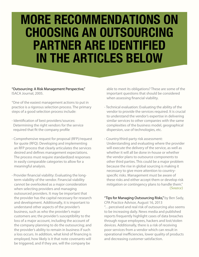## **MORE RECOMMENDATIONS ON CHOOSING AN OUTSOURCING PARTNER ARE IDENTIFIED IN THE ARTICLES BELOW**

"Outsourcing: A Risk Management Perspective," ISACA Journal, 2005.

"One of the easiest management actions to put in practice is a rigorous selection process. The primary steps of a good selection process include:

- Identification of best providers/sources: Determining the right vendors for the service required that fit the company profile
- Comprehensive request for proposal (RFP)/request for quote (RFQ): Developing and implementing an RFP process that clearly articulates the services desired and defines management expectations. The process must require standardized responses in easily comparable categories to allow for a meaningful analysis.
- Provider financial viability: Evaluating the long term viability of the vendor. Financial viability cannot be overlooked as a major consideration when selecting providers and managing outsourced providers. It may be important that the provider has the capital necessary for research and development. Additionally, it is important to understand other aspects of the provider's business, such as who the provider's major customers are; the provider's susceptibility to the loss of a major account, including the account of the company planning to do the outsourcing; and the provider's ability to remain in business if such a loss occurs. In addition, what kind of financing is employed, how likely is it that note covenants will be triggered, and if they are, will the company be

 able to meet its obligations? These are some of the important questions that should be considered when assessing financial viability.

- Technical evaluation: Evaluating the ability of the vendor to provide the services required. It is crucial to understand the vendor's expertise in delivering similar services to other companies with the same complexities of the business model, geographical dispersion, use of technologies, etc.
- Country/third-party risk assessment: Understanding and evaluating where the provider will execute the delivery of the service, as well as whether it will all be done in-house or whether the vendor plans to outsource components to other third parties. This could be a major problem because the rise in global sourcing is making it necessary to give more attention to country specific risks. Management must be aware of these risks and either accept them or develop risk mitigation or contingency plans to handle them." [\(Source\)](http://www.isaca.org/Journal/Past-Issues/2005/Volume-5/Pages/Outsourcing-A-Risk-Management-Perspective1.aspx)

"Tips for Managing Outsourcing Risks," by Ben Sady, CPA Practice Advisor, August 16, 2013 "…perceived and real risk of outsourcing also seems to be increasing daily. News media and published reports frequently highlight cases of data breaches through rogue employees, hackers and lost/stolen devices. Additionally, there is a risk of receiving poor services from a vendor which can result in operational inefficiencies, lower quality of products and decreasing customer satisfaction.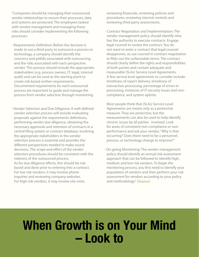"Companies should be managing their outsourced vendor relationships to ensure their processes, data and systems are protected. The employees tasked with vendor management and managing these risks should consider implementing the following processes:

- Requirements Definition: Before the decision is made to use a third party to outsource a process or technology, a company should identify the concerns and pitfalls associated with outsourcing and the risks associated with each perspective vendor. This process should include the appropriate stakeholders (e.g. process owners, IT, legal, internal audit) and can be used as the starting point to create risk-based written requirements. Documented requirements for each outsourced process are important to guide and manage the process from vendor selection through monitoring.
- Vendor Selection and Due Diligence: A well-defined vendor selection process will include evaluating proposals against the requirements definitions, performing vendor due diligence, obtaining the necessary approvals and retention of contracts in a central filing system or contract database. Involving the appropriate stakeholders in the vendor selection process is essential and provides the different perspectives needed to make sound decisions. The scope and effort of the vendor selection procedures should be consistent with the riskiness of the outsourced process. As for due diligence efforts, this should be risk based and done prior to entering into a contract. For low risk vendors, it may involve phone inquiries and reviewing company websites. For high risk vendors, it may involve site visits,

 reviewing financials, reviewing policies and procedures, reviewing internal controls and reviewing third party assessments.

 - Contract Negotiation and Implementation: The vendor management policy should identify who has the authority to execute contracts. Engage legal counsel to review the contract. You do not want to enter a contract that legal counsel disapproves, so use counsel in contract negotiation to filter out the unfavorable terms. The contract should clearly define the rights and responsibilities of both parties and contain adequate and measurable (SLAs) Service Level Agreements. A few service level agreements to consider include: timeliness of report delivery, timeliness of transaction processing, percentage of errors in processing, instances of IT security issues and non compliance, and system uptime.

 Most people think that (SLAs) Service Level Agreements are meant only as a protective measure. They are protective, but the measurements can also be used to help identify chronic issues by all parties involved. Look for areas of consistent non-compliance or non performance and ask your vendor, "Why is that occurring? Does there need to be a personnel, process, or technology change to improve?"

- On-going Monitoring: The vendor management policy should identify an annual risk assessment approach that can be followed to identify high, medium and low risk vendors. To begin the monitoring process, you first need to identify your population of vendors and then perform your risk assessment for vendors according to your policy and methodology." [\(Source\)](http://www.cpapracticeadvisor.com/article/10983731/4-tips-for-managing-outsourcing-risks)

### **When Growth is on Your Mind – Look to**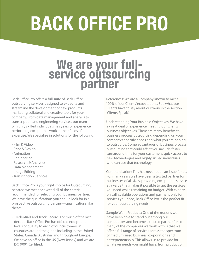# **BACK OFFICE PRO**

# We are your full**service outsourcing partner**

Back Office Pro offers a full suite of Back Office outsourcing services designed to expedite and streamline the development of new products, marketing collateral and creative tools for your company. From data management and analysis to transcription and engineering services, our team of highly skilled individuals has years of experience performing exceptional work in their fields of expertise. We specialize in solutions for the following:

- Film & Video
- Print & Design
- Animation
- Engineering
- Research & Analytics
- Data Management
- Image Editing
- Transcription Services

Back Office Pro is your right choice for Outsourcing, because we meet or exceed all of the criteria recommended for selecting your business partner. We have the qualifications you should look for in a prospective outsourcing partner—qualifications like these:

- Credentials and Track Record: For much of the last decade, Back Office Pro has offered exceptional levels of quality to each of our customers in countries around the globe including in the United States, Canada, Australia, and throughout Europe. We have an office in the US (New Jersey) and we are ISO 9001 Certified.

- References: We are a Company known to meet 100% of our Clients' expectations. See what our Clients have to say about our work in the section ' Clients Speak.'
- Understanding Your Business Objectives: We have a great deal of experience meeting our Client's business objectives. There are many benefits to business process outsourcing depending on your company's specific needs and what you are hoping to outsource. Some advantages of business process outsourcing that could affect you include faster turnaround time for your customers, quick access to new technologies and highly skilled individuals who can use that technology.
- Communication: This has never been an issue for us. For many years we have been a trusted partner for businesses of all sizes, providing exceptional service at a value that makes it possible to get the services you need while remaining on budget. With experts on call, scalable operations and payment only for services you need, Back Office Pro is the perfect fit for your outsourcing needs.
- Sample Work Products: One of the reasons we have been able to stand out among our competitors and become a trusted partner for so many of the companies we work with is that we offer a full range of services across the spectrum of medium sized business, corporations and entrepreneurship. This allows us to provide for whatever needs you might have, from production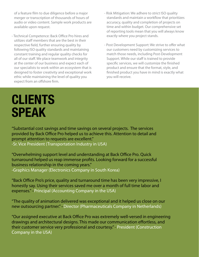of a feature film to due diligence before a major merger or transcription of thousands of hours of audio or video content. Sample work products are available upon request.

- Technical Competence: Back Office Pro hires and utilizes staff members that are the best in their respective field, further ensuring quality by following ISO quality standards and maintaining constant training and regular quality checks for all of our staff. We place teamwork and integrity at the center of our business and expect each of our specialists to work within an ecosystem that is designed to foster creativity and exceptional work ethic while maintaining the level of quality you expect from an offshore firm.
- Risk Mitigation: We adhere to strict ISO quality standards and maintain a workflow that prioritizes accuracy, quality and completion of projects on time and within budget. Our comprehensive set of reporting tools mean that you will always know exactly where you project stands.
- Post Development Support: We strive to offer what our customers need by customizing services to match those needs, including Post-Development Support. While our staff is trained to provide specific services, we will customize the finished product and ensure that the format, style, and finished product you have in mind is exactly what you will receive.

## **CLIENTS SPEAK**

"Substantial cost savings and time savings on several projects. The services provided by Back Office Pro helped us to achieve this. Attention to detail and prompt attention to requests are excellent." -Sr. Vice President (Transportation Industry in USA)

"Overwhelming support level and understanding at Back Office Pro. Quick turnaround helped us reap immense profits. Looking forward for a successful business relationship in the coming years." -Graphics Manager (Electronics Company in South Korea)

"Back Office Pro's price, quality and turnaround time has been very impressive, I honestly say. Using their services saved me over a month of full time labor and expenses." –Principal (Accounting Company in the USA)

"The quality of animation delivered was exceptional and it helped us close on our new outsourcing partner." –Director (Pharmaceuticals Company in Netherlands)

"Our assigned executive at Back Office Pro was extremely well-versed in engineering drawings and architectural designs. This made our communication effortless, and their customer service very professional and courtesy." - President (Construction Company in the USA)